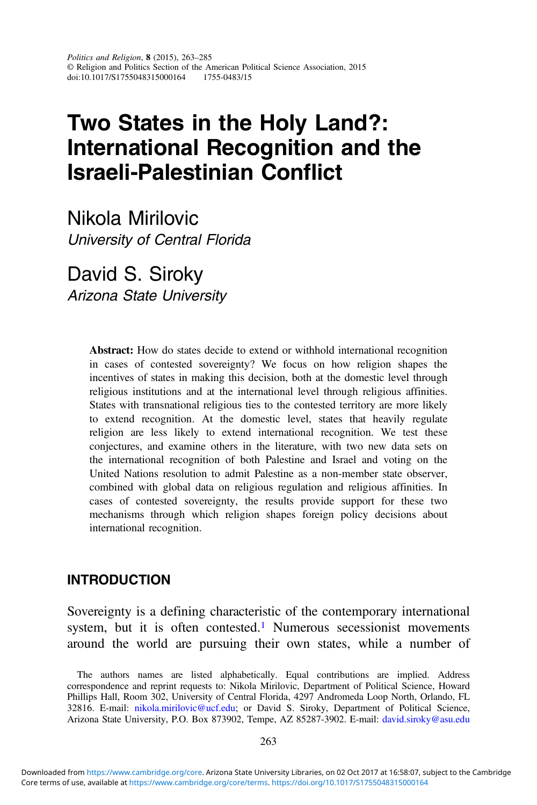# Two States in the Holy Land?: International Recognition and the Israeli-Palestinian Conflict

Nikola Mirilovic University of Central Florida

David S. Siroky Arizona State University

> Abstract: How do states decide to extend or withhold international recognition in cases of contested sovereignty? We focus on how religion shapes the incentives of states in making this decision, both at the domestic level through religious institutions and at the international level through religious affinities. States with transnational religious ties to the contested territory are more likely to extend recognition. At the domestic level, states that heavily regulate religion are less likely to extend international recognition. We test these conjectures, and examine others in the literature, with two new data sets on the international recognition of both Palestine and Israel and voting on the United Nations resolution to admit Palestine as a non-member state observer, combined with global data on religious regulation and religious affinities. In cases of contested sovereignty, the results provide support for these two mechanisms through which religion shapes foreign policy decisions about international recognition.

## INTRODUCTION

Sovereignty is a defining characteristic of the contemporary international system, but it is often contested.<sup>[1](#page-19-0)</sup> Numerous secessionist movements around the world are pursuing their own states, while a number of

The authors names are listed alphabetically. Equal contributions are implied. Address correspondence and reprint requests to: Nikola Mirilovic, Department of Political Science, Howard Phillips Hall, Room 302, University of Central Florida, 4297 Andromeda Loop North, Orlando, FL 32816. E-mail: [nikola.mirilovic@ucf.edu](mailto:nikola.mirilovic@ucf.edu); or David S. Siroky, Department of Political Science, Arizona State University, P.O. Box 873902, Tempe, AZ 85287-3902. E-mail: [david.siroky@asu.edu](mailto:david.siroky@asu.edu)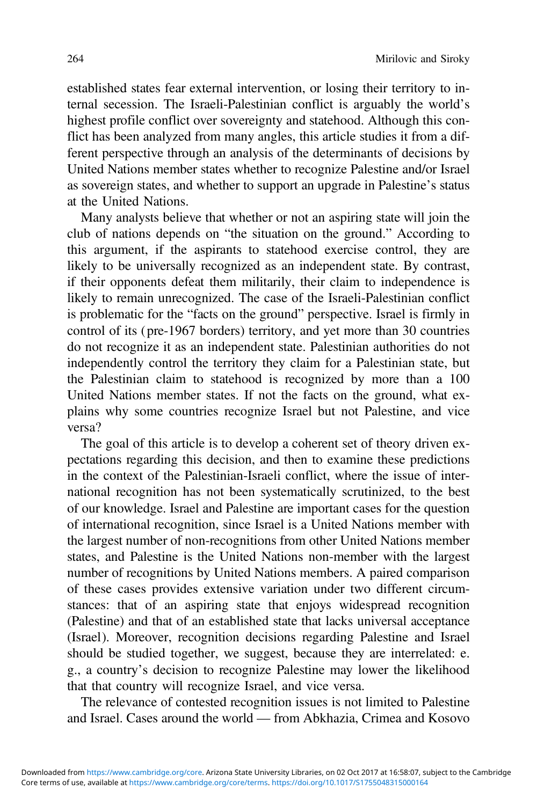established states fear external intervention, or losing their territory to internal secession. The Israeli-Palestinian conflict is arguably the world's highest profile conflict over sovereignty and statehood. Although this conflict has been analyzed from many angles, this article studies it from a different perspective through an analysis of the determinants of decisions by United Nations member states whether to recognize Palestine and/or Israel as sovereign states, and whether to support an upgrade in Palestine's status at the United Nations.

Many analysts believe that whether or not an aspiring state will join the club of nations depends on "the situation on the ground." According to this argument, if the aspirants to statehood exercise control, they are likely to be universally recognized as an independent state. By contrast, if their opponents defeat them militarily, their claim to independence is likely to remain unrecognized. The case of the Israeli-Palestinian conflict is problematic for the "facts on the ground" perspective. Israel is firmly in control of its ( pre-1967 borders) territory, and yet more than 30 countries do not recognize it as an independent state. Palestinian authorities do not independently control the territory they claim for a Palestinian state, but the Palestinian claim to statehood is recognized by more than a 100 United Nations member states. If not the facts on the ground, what explains why some countries recognize Israel but not Palestine, and vice versa?

The goal of this article is to develop a coherent set of theory driven expectations regarding this decision, and then to examine these predictions in the context of the Palestinian-Israeli conflict, where the issue of international recognition has not been systematically scrutinized, to the best of our knowledge. Israel and Palestine are important cases for the question of international recognition, since Israel is a United Nations member with the largest number of non-recognitions from other United Nations member states, and Palestine is the United Nations non-member with the largest number of recognitions by United Nations members. A paired comparison of these cases provides extensive variation under two different circumstances: that of an aspiring state that enjoys widespread recognition (Palestine) and that of an established state that lacks universal acceptance (Israel). Moreover, recognition decisions regarding Palestine and Israel should be studied together, we suggest, because they are interrelated: e. g., a country's decision to recognize Palestine may lower the likelihood that that country will recognize Israel, and vice versa.

The relevance of contested recognition issues is not limited to Palestine and Israel. Cases around the world — from Abkhazia, Crimea and Kosovo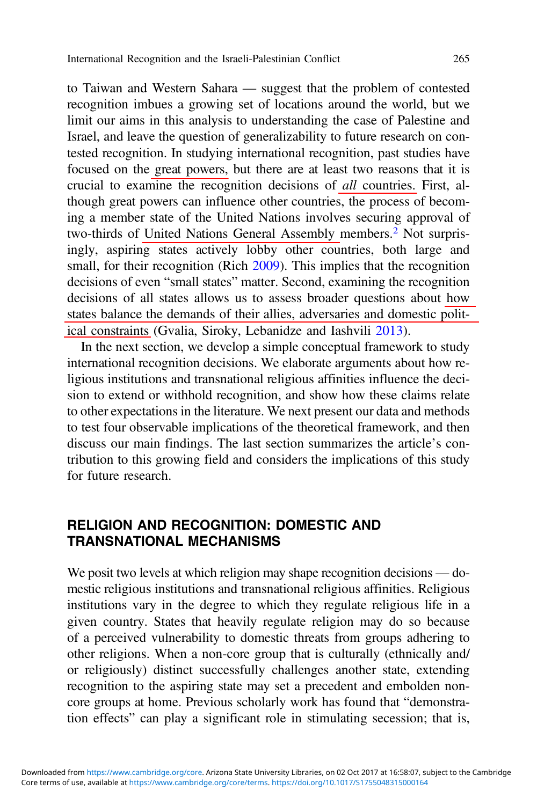to Taiwan and Western Sahara — suggest that the problem of contested recognition imbues a growing set of locations around the world, but we limit our aims in this analysis to understanding the case of Palestine and Israel, and leave the question of generalizability to future research on contested recognition. In studying international recognition, past studies have focused on the great powers, but there are at least two reasons that it is crucial to examine the recognition decisions of all countries. First, although great powers can influence other countries, the process of becoming a member state of the United Nations involves securing approval of two-thirds of United Nations General Assembly members.[2](#page-20-0) Not surprisingly, aspiring states actively lobby other countries, both large and small, for their recognition (Rich [2009](#page-22-0)). This implies that the recognition decisions of even "small states" matter. Second, examining the recognition decisions of all states allows us to assess broader questions about how states balance the demands of their allies, adversaries and domestic political constraints (Gvalia, Siroky, Lebanidze and Iashvili [2013](#page-21-0)).

In the next section, we develop a simple conceptual framework to study international recognition decisions. We elaborate arguments about how religious institutions and transnational religious affinities influence the decision to extend or withhold recognition, and show how these claims relate to other expectations in the literature. We next present our data and methods to test four observable implications of the theoretical framework, and then discuss our main findings. The last section summarizes the article's contribution to this growing field and considers the implications of this study for future research.

## RELIGION AND RECOGNITION: DOMESTIC AND TRANSNATIONAL MECHANISMS

We posit two levels at which religion may shape recognition decisions — domestic religious institutions and transnational religious affinities. Religious institutions vary in the degree to which they regulate religious life in a given country. States that heavily regulate religion may do so because of a perceived vulnerability to domestic threats from groups adhering to other religions. When a non-core group that is culturally (ethnically and/ or religiously) distinct successfully challenges another state, extending recognition to the aspiring state may set a precedent and embolden noncore groups at home. Previous scholarly work has found that "demonstration effects" can play a significant role in stimulating secession; that is,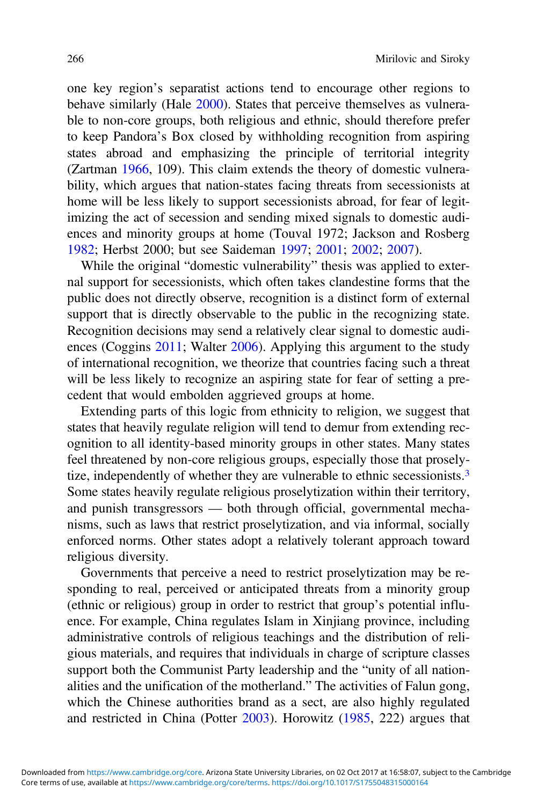one key region's separatist actions tend to encourage other regions to behave similarly (Hale [2000\)](#page-21-0). States that perceive themselves as vulnerable to non-core groups, both religious and ethnic, should therefore prefer to keep Pandora's Box closed by withholding recognition from aspiring states abroad and emphasizing the principle of territorial integrity (Zartman [1966,](#page-22-0) 109). This claim extends the theory of domestic vulnerability, which argues that nation-states facing threats from secessionists at home will be less likely to support secessionists abroad, for fear of legitimizing the act of secession and sending mixed signals to domestic audiences and minority groups at home (Touval 1972; Jackson and Rosberg [1982](#page-21-0); Herbst 2000; but see Saideman [1997;](#page-22-0) [2001](#page-22-0); [2002;](#page-22-0) [2007](#page-22-0)).

While the original "domestic vulnerability" thesis was applied to external support for secessionists, which often takes clandestine forms that the public does not directly observe, recognition is a distinct form of external support that is directly observable to the public in the recognizing state. Recognition decisions may send a relatively clear signal to domestic audiences (Coggins [2011;](#page-21-0) Walter [2006\)](#page-22-0). Applying this argument to the study of international recognition, we theorize that countries facing such a threat will be less likely to recognize an aspiring state for fear of setting a precedent that would embolden aggrieved groups at home.

Extending parts of this logic from ethnicity to religion, we suggest that states that heavily regulate religion will tend to demur from extending recognition to all identity-based minority groups in other states. Many states feel threatened by non-core religious groups, especially those that prosely-tize, independently of whether they are vulnerable to ethnic secessionists.<sup>[3](#page-20-0)</sup> Some states heavily regulate religious proselytization within their territory, and punish transgressors — both through official, governmental mechanisms, such as laws that restrict proselytization, and via informal, socially enforced norms. Other states adopt a relatively tolerant approach toward religious diversity.

Governments that perceive a need to restrict proselytization may be responding to real, perceived or anticipated threats from a minority group (ethnic or religious) group in order to restrict that group's potential influence. For example, China regulates Islam in Xinjiang province, including administrative controls of religious teachings and the distribution of religious materials, and requires that individuals in charge of scripture classes support both the Communist Party leadership and the "unity of all nationalities and the unification of the motherland." The activities of Falun gong, which the Chinese authorities brand as a sect, are also highly regulated and restricted in China (Potter [2003\)](#page-22-0). Horowitz [\(1985](#page-21-0), 222) argues that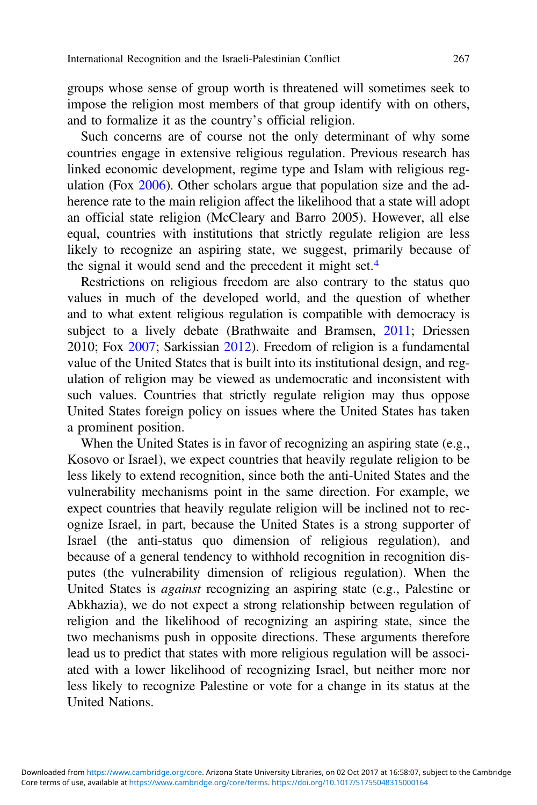groups whose sense of group worth is threatened will sometimes seek to impose the religion most members of that group identify with on others, and to formalize it as the country's official religion.

Such concerns are of course not the only determinant of why some countries engage in extensive religious regulation. Previous research has linked economic development, regime type and Islam with religious regulation (Fox [2006](#page-21-0)). Other scholars argue that population size and the adherence rate to the main religion affect the likelihood that a state will adopt an official state religion (McCleary and Barro 2005). However, all else equal, countries with institutions that strictly regulate religion are less likely to recognize an aspiring state, we suggest, primarily because of the signal it would send and the precedent it might set.[4](#page-20-0)

Restrictions on religious freedom are also contrary to the status quo values in much of the developed world, and the question of whether and to what extent religious regulation is compatible with democracy is subject to a lively debate (Brathwaite and Bramsen, [2011;](#page-21-0) Driessen 2010; Fox [2007](#page-21-0); Sarkissian [2012](#page-22-0)). Freedom of religion is a fundamental value of the United States that is built into its institutional design, and regulation of religion may be viewed as undemocratic and inconsistent with such values. Countries that strictly regulate religion may thus oppose United States foreign policy on issues where the United States has taken a prominent position.

When the United States is in favor of recognizing an aspiring state (e.g., Kosovo or Israel), we expect countries that heavily regulate religion to be less likely to extend recognition, since both the anti-United States and the vulnerability mechanisms point in the same direction. For example, we expect countries that heavily regulate religion will be inclined not to recognize Israel, in part, because the United States is a strong supporter of Israel (the anti-status quo dimension of religious regulation), and because of a general tendency to withhold recognition in recognition disputes (the vulnerability dimension of religious regulation). When the United States is against recognizing an aspiring state (e.g., Palestine or Abkhazia), we do not expect a strong relationship between regulation of religion and the likelihood of recognizing an aspiring state, since the two mechanisms push in opposite directions. These arguments therefore lead us to predict that states with more religious regulation will be associated with a lower likelihood of recognizing Israel, but neither more nor less likely to recognize Palestine or vote for a change in its status at the United Nations.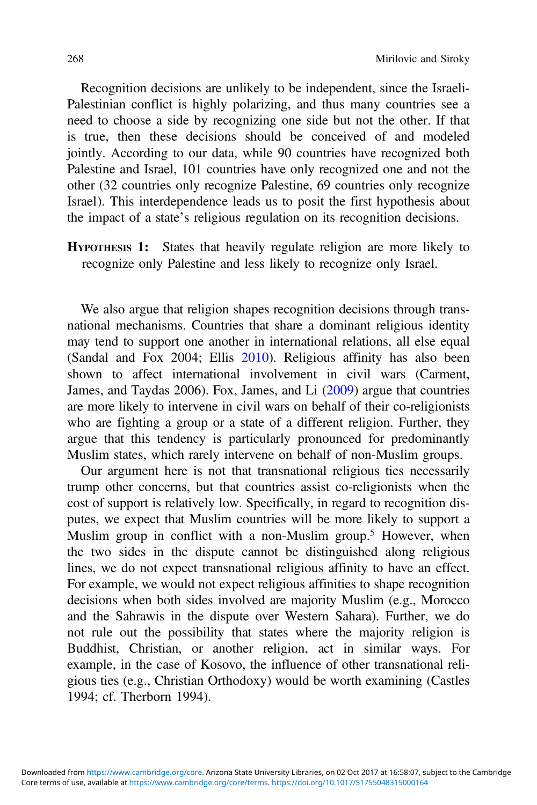Recognition decisions are unlikely to be independent, since the Israeli-Palestinian conflict is highly polarizing, and thus many countries see a need to choose a side by recognizing one side but not the other. If that is true, then these decisions should be conceived of and modeled jointly. According to our data, while 90 countries have recognized both Palestine and Israel, 101 countries have only recognized one and not the other (32 countries only recognize Palestine, 69 countries only recognize Israel). This interdependence leads us to posit the first hypothesis about the impact of a state's religious regulation on its recognition decisions.

HYPOTHESIS 1: States that heavily regulate religion are more likely to recognize only Palestine and less likely to recognize only Israel.

We also argue that religion shapes recognition decisions through transnational mechanisms. Countries that share a dominant religious identity may tend to support one another in international relations, all else equal (Sandal and Fox 2004; Ellis [2010](#page-21-0)). Religious affinity has also been shown to affect international involvement in civil wars (Carment, James, and Taydas 2006). Fox, James, and Li ([2009\)](#page-21-0) argue that countries are more likely to intervene in civil wars on behalf of their co-religionists who are fighting a group or a state of a different religion. Further, they argue that this tendency is particularly pronounced for predominantly Muslim states, which rarely intervene on behalf of non-Muslim groups.

Our argument here is not that transnational religious ties necessarily trump other concerns, but that countries assist co-religionists when the cost of support is relatively low. Specifically, in regard to recognition disputes, we expect that Muslim countries will be more likely to support a Muslim group in conflict with a non-Muslim group.<sup>[5](#page-20-0)</sup> However, when the two sides in the dispute cannot be distinguished along religious lines, we do not expect transnational religious affinity to have an effect. For example, we would not expect religious affinities to shape recognition decisions when both sides involved are majority Muslim (e.g., Morocco and the Sahrawis in the dispute over Western Sahara). Further, we do not rule out the possibility that states where the majority religion is Buddhist, Christian, or another religion, act in similar ways. For example, in the case of Kosovo, the influence of other transnational religious ties (e.g., Christian Orthodoxy) would be worth examining (Castles 1994; cf. Therborn 1994).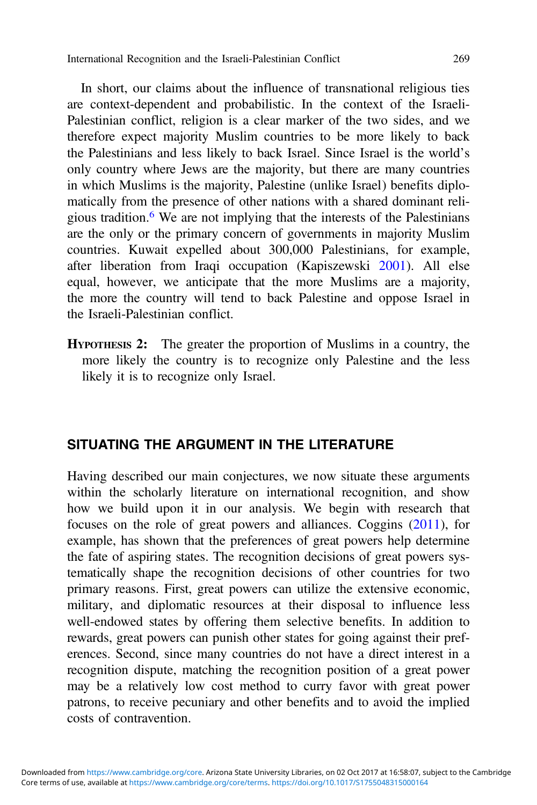In short, our claims about the influence of transnational religious ties are context-dependent and probabilistic. In the context of the Israeli-Palestinian conflict, religion is a clear marker of the two sides, and we therefore expect majority Muslim countries to be more likely to back the Palestinians and less likely to back Israel. Since Israel is the world's only country where Jews are the majority, but there are many countries in which Muslims is the majority, Palestine (unlike Israel) benefits diplomatically from the presence of other nations with a shared dominant reli-gious tradition.<sup>[6](#page-20-0)</sup> We are not implying that the interests of the Palestinians are the only or the primary concern of governments in majority Muslim countries. Kuwait expelled about 300,000 Palestinians, for example, after liberation from Iraqi occupation (Kapiszewski [2001\)](#page-21-0). All else equal, however, we anticipate that the more Muslims are a majority, the more the country will tend to back Palestine and oppose Israel in the Israeli-Palestinian conflict.

HYPOTHESIS 2: The greater the proportion of Muslims in a country, the more likely the country is to recognize only Palestine and the less likely it is to recognize only Israel.

## SITUATING THE ARGUMENT IN THE LITERATURE

Having described our main conjectures, we now situate these arguments within the scholarly literature on international recognition, and show how we build upon it in our analysis. We begin with research that focuses on the role of great powers and alliances. Coggins [\(2011](#page-21-0)), for example, has shown that the preferences of great powers help determine the fate of aspiring states. The recognition decisions of great powers systematically shape the recognition decisions of other countries for two primary reasons. First, great powers can utilize the extensive economic, military, and diplomatic resources at their disposal to influence less well-endowed states by offering them selective benefits. In addition to rewards, great powers can punish other states for going against their preferences. Second, since many countries do not have a direct interest in a recognition dispute, matching the recognition position of a great power may be a relatively low cost method to curry favor with great power patrons, to receive pecuniary and other benefits and to avoid the implied costs of contravention.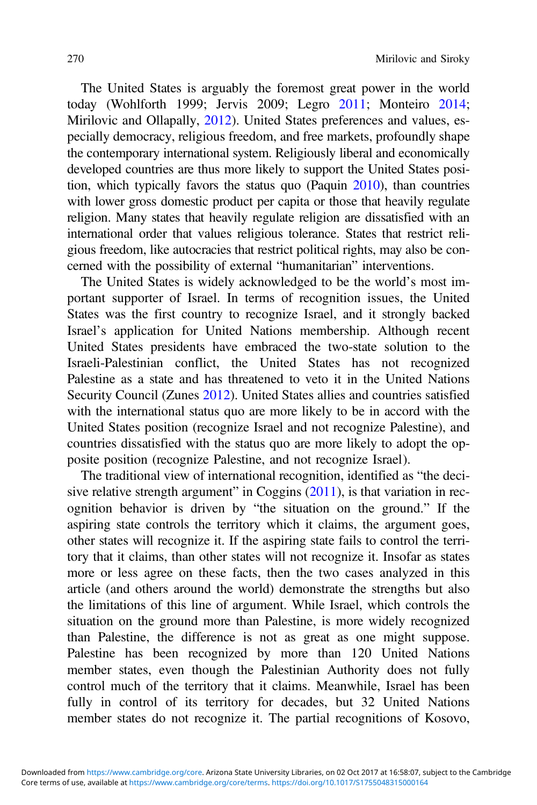The United States is arguably the foremost great power in the world today (Wohlforth 1999; Jervis 2009; Legro [2011;](#page-21-0) Monteiro [2014](#page-22-0); Mirilovic and Ollapally, [2012](#page-22-0)). United States preferences and values, especially democracy, religious freedom, and free markets, profoundly shape the contemporary international system. Religiously liberal and economically developed countries are thus more likely to support the United States position, which typically favors the status quo (Paquin [2010\)](#page-22-0), than countries with lower gross domestic product per capita or those that heavily regulate religion. Many states that heavily regulate religion are dissatisfied with an international order that values religious tolerance. States that restrict religious freedom, like autocracies that restrict political rights, may also be concerned with the possibility of external "humanitarian" interventions.

The United States is widely acknowledged to be the world's most important supporter of Israel. In terms of recognition issues, the United States was the first country to recognize Israel, and it strongly backed Israel's application for United Nations membership. Although recent United States presidents have embraced the two-state solution to the Israeli-Palestinian conflict, the United States has not recognized Palestine as a state and has threatened to veto it in the United Nations Security Council (Zunes [2012](#page-22-0)). United States allies and countries satisfied with the international status quo are more likely to be in accord with the United States position (recognize Israel and not recognize Palestine), and countries dissatisfied with the status quo are more likely to adopt the opposite position (recognize Palestine, and not recognize Israel).

The traditional view of international recognition, identified as "the decisive relative strength argument" in Coggins  $(2011)$  $(2011)$ , is that variation in recognition behavior is driven by "the situation on the ground." If the aspiring state controls the territory which it claims, the argument goes, other states will recognize it. If the aspiring state fails to control the territory that it claims, than other states will not recognize it. Insofar as states more or less agree on these facts, then the two cases analyzed in this article (and others around the world) demonstrate the strengths but also the limitations of this line of argument. While Israel, which controls the situation on the ground more than Palestine, is more widely recognized than Palestine, the difference is not as great as one might suppose. Palestine has been recognized by more than 120 United Nations member states, even though the Palestinian Authority does not fully control much of the territory that it claims. Meanwhile, Israel has been fully in control of its territory for decades, but 32 United Nations member states do not recognize it. The partial recognitions of Kosovo,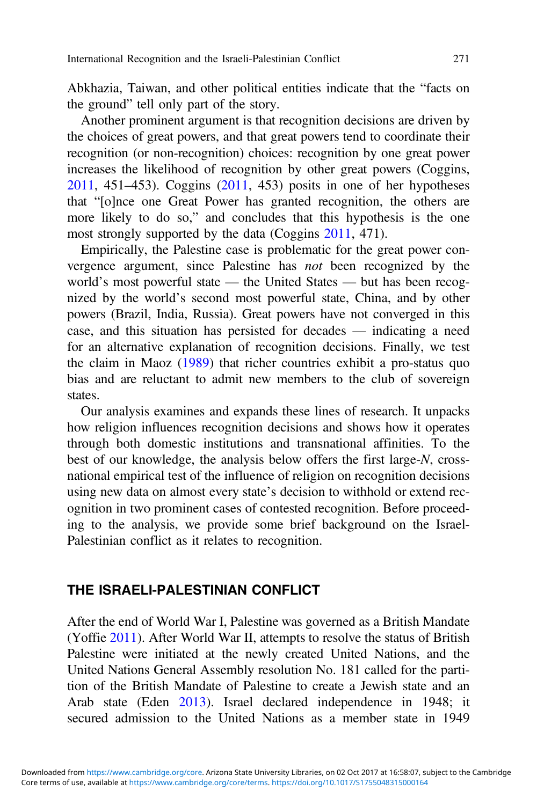Abkhazia, Taiwan, and other political entities indicate that the "facts on the ground" tell only part of the story.

Another prominent argument is that recognition decisions are driven by the choices of great powers, and that great powers tend to coordinate their recognition (or non-recognition) choices: recognition by one great power increases the likelihood of recognition by other great powers (Coggins, [2011](#page-21-0), 451–453). Coggins ([2011](#page-21-0), 453) posits in one of her hypotheses that "[o]nce one Great Power has granted recognition, the others are more likely to do so," and concludes that this hypothesis is the one most strongly supported by the data (Coggins [2011,](#page-21-0) 471).

Empirically, the Palestine case is problematic for the great power convergence argument, since Palestine has not been recognized by the world's most powerful state — the United States — but has been recognized by the world's second most powerful state, China, and by other powers (Brazil, India, Russia). Great powers have not converged in this case, and this situation has persisted for decades — indicating a need for an alternative explanation of recognition decisions. Finally, we test the claim in Maoz [\(1989](#page-22-0)) that richer countries exhibit a pro-status quo bias and are reluctant to admit new members to the club of sovereign states.

Our analysis examines and expands these lines of research. It unpacks how religion influences recognition decisions and shows how it operates through both domestic institutions and transnational affinities. To the best of our knowledge, the analysis below offers the first large-N, crossnational empirical test of the influence of religion on recognition decisions using new data on almost every state's decision to withhold or extend recognition in two prominent cases of contested recognition. Before proceeding to the analysis, we provide some brief background on the Israel-Palestinian conflict as it relates to recognition.

## THE ISRAELI-PALESTINIAN CONFLICT

After the end of World War I, Palestine was governed as a British Mandate (Yoffie [2011](#page-22-0)). After World War II, attempts to resolve the status of British Palestine were initiated at the newly created United Nations, and the United Nations General Assembly resolution No. 181 called for the partition of the British Mandate of Palestine to create a Jewish state and an Arab state (Eden [2013\)](#page-21-0). Israel declared independence in 1948; it secured admission to the United Nations as a member state in 1949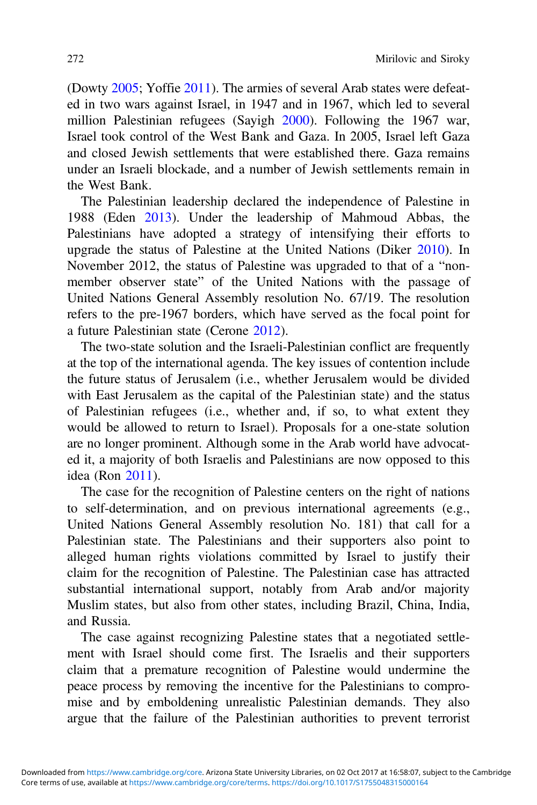(Dowty [2005;](#page-21-0) Yoffie [2011](#page-22-0)). The armies of several Arab states were defeated in two wars against Israel, in 1947 and in 1967, which led to several million Palestinian refugees (Sayigh [2000\)](#page-22-0). Following the 1967 war, Israel took control of the West Bank and Gaza. In 2005, Israel left Gaza and closed Jewish settlements that were established there. Gaza remains under an Israeli blockade, and a number of Jewish settlements remain in the West Bank.

The Palestinian leadership declared the independence of Palestine in 1988 (Eden [2013](#page-21-0)). Under the leadership of Mahmoud Abbas, the Palestinians have adopted a strategy of intensifying their efforts to upgrade the status of Palestine at the United Nations (Diker [2010\)](#page-21-0). In November 2012, the status of Palestine was upgraded to that of a "nonmember observer state" of the United Nations with the passage of United Nations General Assembly resolution No. 67/19. The resolution refers to the pre-1967 borders, which have served as the focal point for a future Palestinian state (Cerone [2012\)](#page-21-0).

The two-state solution and the Israeli-Palestinian conflict are frequently at the top of the international agenda. The key issues of contention include the future status of Jerusalem (i.e., whether Jerusalem would be divided with East Jerusalem as the capital of the Palestinian state) and the status of Palestinian refugees (i.e., whether and, if so, to what extent they would be allowed to return to Israel). Proposals for a one-state solution are no longer prominent. Although some in the Arab world have advocated it, a majority of both Israelis and Palestinians are now opposed to this idea (Ron [2011](#page-22-0)).

The case for the recognition of Palestine centers on the right of nations to self-determination, and on previous international agreements (e.g., United Nations General Assembly resolution No. 181) that call for a Palestinian state. The Palestinians and their supporters also point to alleged human rights violations committed by Israel to justify their claim for the recognition of Palestine. The Palestinian case has attracted substantial international support, notably from Arab and/or majority Muslim states, but also from other states, including Brazil, China, India, and Russia.

The case against recognizing Palestine states that a negotiated settlement with Israel should come first. The Israelis and their supporters claim that a premature recognition of Palestine would undermine the peace process by removing the incentive for the Palestinians to compromise and by emboldening unrealistic Palestinian demands. They also argue that the failure of the Palestinian authorities to prevent terrorist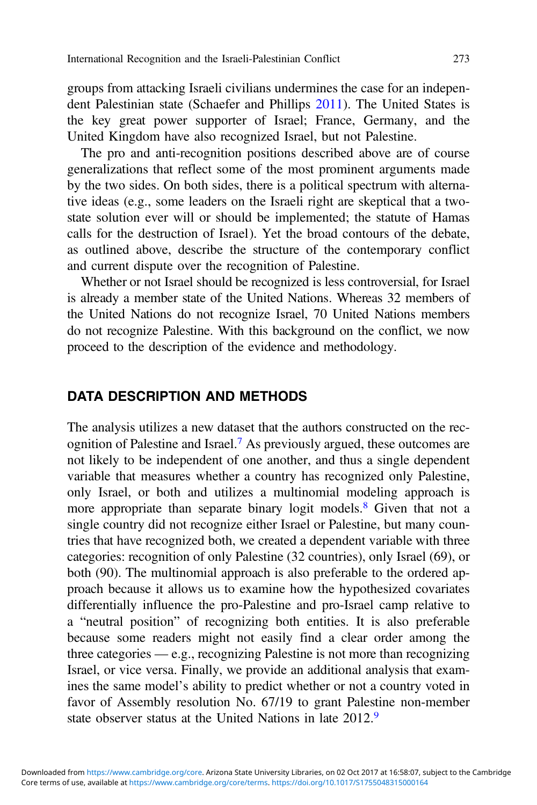groups from attacking Israeli civilians undermines the case for an independent Palestinian state (Schaefer and Phillips [2011\)](#page-22-0). The United States is the key great power supporter of Israel; France, Germany, and the United Kingdom have also recognized Israel, but not Palestine.

The pro and anti-recognition positions described above are of course generalizations that reflect some of the most prominent arguments made by the two sides. On both sides, there is a political spectrum with alternative ideas (e.g., some leaders on the Israeli right are skeptical that a twostate solution ever will or should be implemented; the statute of Hamas calls for the destruction of Israel). Yet the broad contours of the debate, as outlined above, describe the structure of the contemporary conflict and current dispute over the recognition of Palestine.

Whether or not Israel should be recognized is less controversial, for Israel is already a member state of the United Nations. Whereas 32 members of the United Nations do not recognize Israel, 70 United Nations members do not recognize Palestine. With this background on the conflict, we now proceed to the description of the evidence and methodology.

## DATA DESCRIPTION AND METHODS

The analysis utilizes a new dataset that the authors constructed on the recognition of Palestine and Israel.[7](#page-20-0) As previously argued, these outcomes are not likely to be independent of one another, and thus a single dependent variable that measures whether a country has recognized only Palestine, only Israel, or both and utilizes a multinomial modeling approach is more appropriate than separate binary logit models.<sup>[8](#page-20-0)</sup> Given that not a single country did not recognize either Israel or Palestine, but many countries that have recognized both, we created a dependent variable with three categories: recognition of only Palestine (32 countries), only Israel (69), or both (90). The multinomial approach is also preferable to the ordered approach because it allows us to examine how the hypothesized covariates differentially influence the pro-Palestine and pro-Israel camp relative to a "neutral position" of recognizing both entities. It is also preferable because some readers might not easily find a clear order among the three categories — e.g., recognizing Palestine is not more than recognizing Israel, or vice versa. Finally, we provide an additional analysis that examines the same model's ability to predict whether or not a country voted in favor of Assembly resolution No. 67/19 to grant Palestine non-member state observer status at the United Nations in late 2012.<sup>[9](#page-20-0)</sup>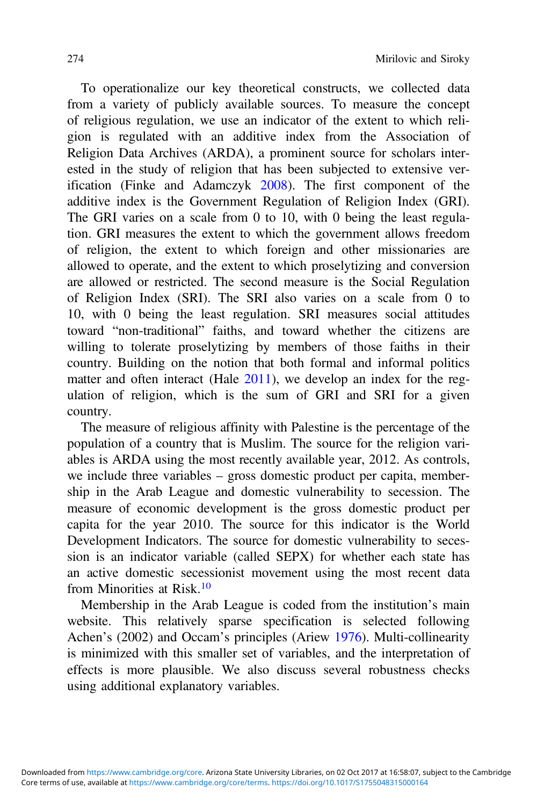To operationalize our key theoretical constructs, we collected data from a variety of publicly available sources. To measure the concept of religious regulation, we use an indicator of the extent to which religion is regulated with an additive index from the Association of Religion Data Archives (ARDA), a prominent source for scholars interested in the study of religion that has been subjected to extensive verification (Finke and Adamczyk [2008](#page-21-0)). The first component of the additive index is the Government Regulation of Religion Index (GRI). The GRI varies on a scale from 0 to 10, with 0 being the least regulation. GRI measures the extent to which the government allows freedom of religion, the extent to which foreign and other missionaries are allowed to operate, and the extent to which proselytizing and conversion are allowed or restricted. The second measure is the Social Regulation of Religion Index (SRI). The SRI also varies on a scale from 0 to 10, with 0 being the least regulation. SRI measures social attitudes toward "non-traditional" faiths, and toward whether the citizens are willing to tolerate proselytizing by members of those faiths in their country. Building on the notion that both formal and informal politics matter and often interact (Hale [2011\)](#page-21-0), we develop an index for the regulation of religion, which is the sum of GRI and SRI for a given country.

The measure of religious affinity with Palestine is the percentage of the population of a country that is Muslim. The source for the religion variables is ARDA using the most recently available year, 2012. As controls, we include three variables – gross domestic product per capita, membership in the Arab League and domestic vulnerability to secession. The measure of economic development is the gross domestic product per capita for the year 2010. The source for this indicator is the World Development Indicators. The source for domestic vulnerability to secession is an indicator variable (called SEPX) for whether each state has an active domestic secessionist movement using the most recent data from Minorities at Risk.[10](#page-20-0)

Membership in the Arab League is coded from the institution's main website. This relatively sparse specification is selected following Achen's (2002) and Occam's principles (Ariew [1976\)](#page-21-0). Multi-collinearity is minimized with this smaller set of variables, and the interpretation of effects is more plausible. We also discuss several robustness checks using additional explanatory variables.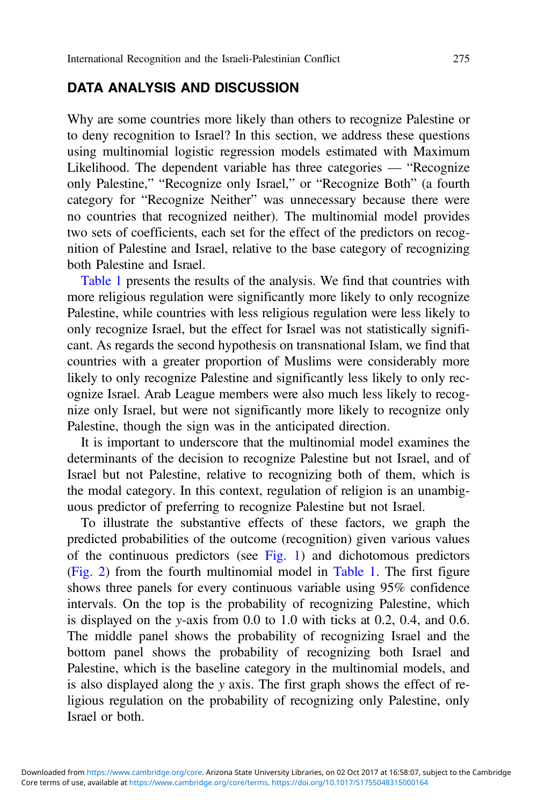## DATA ANALYSIS AND DISCUSSION

Why are some countries more likely than others to recognize Palestine or to deny recognition to Israel? In this section, we address these questions using multinomial logistic regression models estimated with Maximum Likelihood. The dependent variable has three categories — "Recognize only Palestine," "Recognize only Israel," or "Recognize Both" (a fourth category for "Recognize Neither" was unnecessary because there were no countries that recognized neither). The multinomial model provides two sets of coefficients, each set for the effect of the predictors on recognition of Palestine and Israel, relative to the base category of recognizing both Palestine and Israel.

[Table 1](#page-13-0) presents the results of the analysis. We find that countries with more religious regulation were significantly more likely to only recognize Palestine, while countries with less religious regulation were less likely to only recognize Israel, but the effect for Israel was not statistically significant. As regards the second hypothesis on transnational Islam, we find that countries with a greater proportion of Muslims were considerably more likely to only recognize Palestine and significantly less likely to only recognize Israel. Arab League members were also much less likely to recognize only Israel, but were not significantly more likely to recognize only Palestine, though the sign was in the anticipated direction.

It is important to underscore that the multinomial model examines the determinants of the decision to recognize Palestine but not Israel, and of Israel but not Palestine, relative to recognizing both of them, which is the modal category. In this context, regulation of religion is an unambiguous predictor of preferring to recognize Palestine but not Israel.

To illustrate the substantive effects of these factors, we graph the predicted probabilities of the outcome (recognition) given various values of the continuous predictors (see [Fig. 1\)](#page-14-0) and dichotomous predictors ([Fig. 2\)](#page-16-0) from the fourth multinomial model in [Table 1.](#page-13-0) The first figure shows three panels for every continuous variable using 95% confidence intervals. On the top is the probability of recognizing Palestine, which is displayed on the y-axis from 0.0 to 1.0 with ticks at 0.2, 0.4, and 0.6. The middle panel shows the probability of recognizing Israel and the bottom panel shows the probability of recognizing both Israel and Palestine, which is the baseline category in the multinomial models, and is also displayed along the y axis. The first graph shows the effect of religious regulation on the probability of recognizing only Palestine, only Israel or both.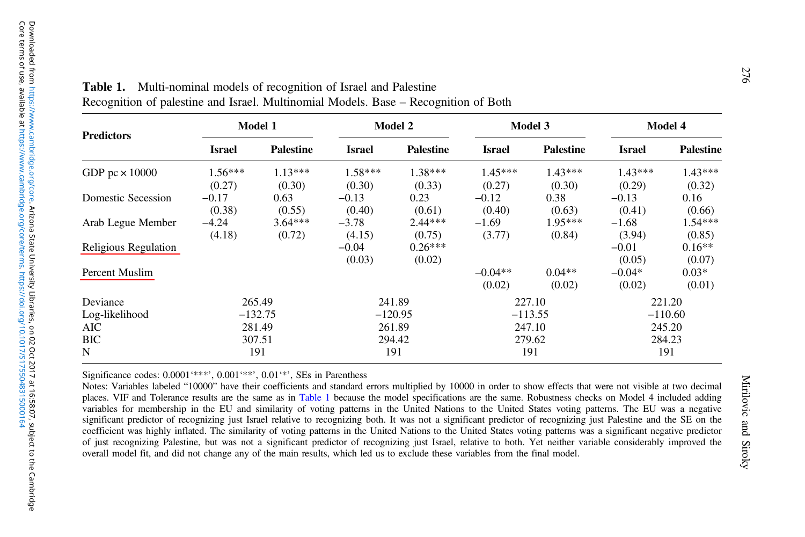| <b>Predictors</b>     | <b>Model 1</b> |                  | <b>Model 2</b> |                  | <b>Model 3</b> |                  | Model 4       |                  |
|-----------------------|----------------|------------------|----------------|------------------|----------------|------------------|---------------|------------------|
|                       | <b>Israel</b>  | <b>Palestine</b> | Israel         | <b>Palestine</b> | Israel         | <b>Palestine</b> | <b>Israel</b> | <b>Palestine</b> |
| GDP pc $\times$ 10000 | $1.56***$      | $1.13***$        | $1.58***$      | $1.38***$        | $1.45***$      | $1.43***$        | $1.43***$     | $1.43***$        |
|                       | (0.27)         | (0.30)           | (0.30)         | (0.33)           | (0.27)         | (0.30)           | (0.29)        | (0.32)           |
| Domestic Secession    | $-0.17$        | 0.63             | $-0.13$        | 0.23             | $-0.12$        | 0.38             | $-0.13$       | 0.16             |
|                       | (0.38)         | (0.55)           | (0.40)         | (0.61)           | (0.40)         | (0.63)           | (0.41)        | (0.66)           |
| Arab Legue Member     | $-4.24$        | $3.64***$        | $-3.78$        | $2.44***$        | $-1.69$        | $1.95***$        | $-1.68$       | $1.54***$        |
|                       | (4.18)         | (0.72)           | (4.15)         | (0.75)           | (3.77)         | (0.84)           | (3.94)        | (0.85)           |
| Religious Regulation  |                |                  | $-0.04$        | $0.26***$        |                |                  | $-0.01$       | $0.16**$         |
|                       |                |                  | (0.03)         | (0.02)           |                |                  | (0.05)        | (0.07)           |
| Percent Muslim        |                |                  |                |                  | $-0.04**$      | $0.04**$         | $-0.04*$      | $0.03*$          |
|                       |                |                  |                |                  | (0.02)         | (0.02)           | (0.02)        | (0.01)           |
| Deviance              | 265.49         |                  | 241.89         |                  | 227.10         |                  | 221.20        |                  |
| Log-likelihood        | $-132.75$      |                  | $-120.95$      |                  | $-113.55$      |                  | $-110.60$     |                  |
| <b>AIC</b>            | 281.49         |                  | 261.89         |                  | 247.10         |                  | 245.20        |                  |
| <b>BIC</b>            | 307.51         |                  | 294.42         |                  | 279.62         |                  | 284.23        |                  |
| N                     |                | 191              |                | 191              |                | 191              |               | 191              |

<span id="page-13-0"></span>**Table 1.** Multi-nominal models of recognition of Israel and Palestine Recognition of palestine and Israel. Multinomial Models. Base – Recognition of Both

Significance codes: 0.0001'\*\*\*', 0.001'\*\*', 0.01'\*', SEs in Parenthess

Notes: Variables labeled "10000" have their coefficients and standard errors multiplied by 10000 in order to show effects that were not visible at two decimal places. VIF and Tolerance results are the same as in Table 1 because the model specifications are the same. Robustness checks on Model 4 included adding variables for membership in the EU and similarity of voting patterns in the United Nations to the United States voting patterns. The EU was <sup>a</sup> negative significant predictor of recognizing just Israel relative to recognizing both. It was not a significant predictor of recognizing just Palestine and the SE on the coefficient was highly inflated. The similarity of voting patterns in the United Nations to the United States voting patterns was <sup>a</sup> significant negative predictor of just recognizing Palestine, but was not <sup>a</sup> significant predictor of recognizing just Israel, relative to both. Yet neither variable considerably improved the overall model fit, and did not change any of the main results, which led us to exclude these variables from the final model.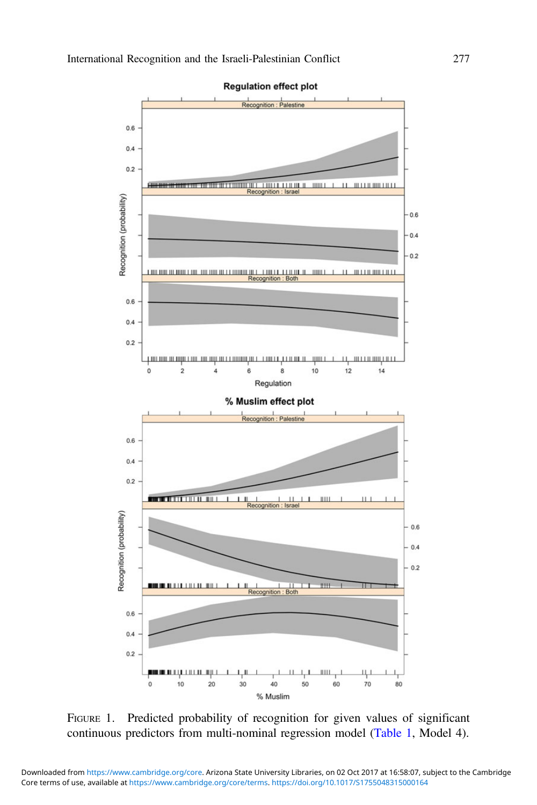<span id="page-14-0"></span>

FIGURE 1. Predicted probability of recognition for given values of significant continuous predictors from multi-nominal regression model ([Table 1,](#page-13-0) Model 4).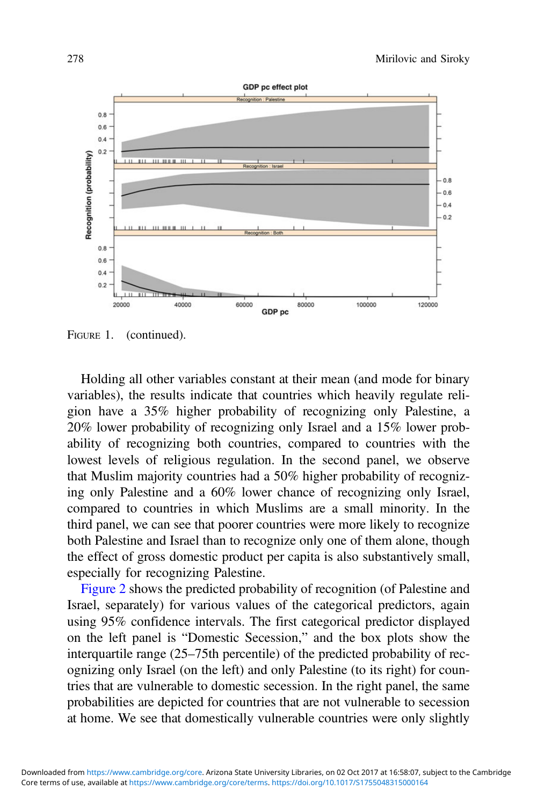

FIGURE 1. (continued).

Holding all other variables constant at their mean (and mode for binary variables), the results indicate that countries which heavily regulate religion have a 35% higher probability of recognizing only Palestine, a 20% lower probability of recognizing only Israel and a 15% lower probability of recognizing both countries, compared to countries with the lowest levels of religious regulation. In the second panel, we observe that Muslim majority countries had a 50% higher probability of recognizing only Palestine and a 60% lower chance of recognizing only Israel, compared to countries in which Muslims are a small minority. In the third panel, we can see that poorer countries were more likely to recognize both Palestine and Israel than to recognize only one of them alone, though the effect of gross domestic product per capita is also substantively small, especially for recognizing Palestine.

[Figure 2](#page-16-0) shows the predicted probability of recognition (of Palestine and Israel, separately) for various values of the categorical predictors, again using 95% confidence intervals. The first categorical predictor displayed on the left panel is "Domestic Secession," and the box plots show the interquartile range (25–75th percentile) of the predicted probability of recognizing only Israel (on the left) and only Palestine (to its right) for countries that are vulnerable to domestic secession. In the right panel, the same probabilities are depicted for countries that are not vulnerable to secession at home. We see that domestically vulnerable countries were only slightly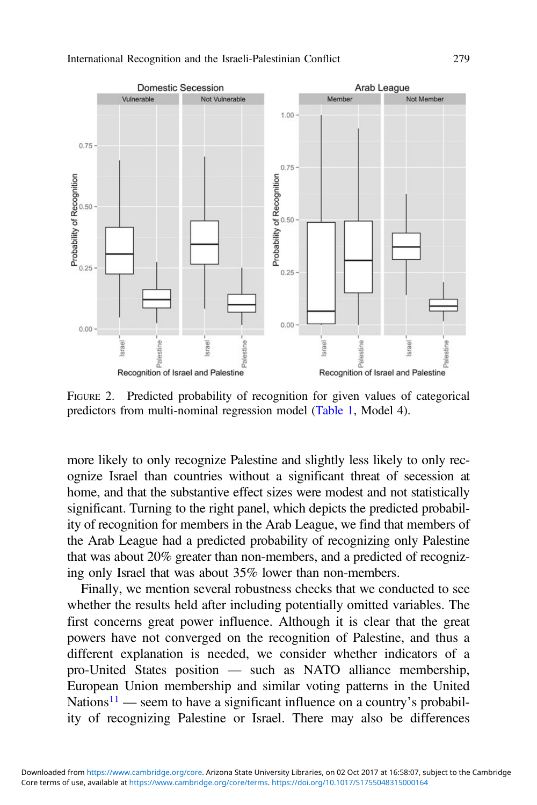<span id="page-16-0"></span>

FIGURE 2. Predicted probability of recognition for given values of categorical predictors from multi-nominal regression model ([Table 1](#page-13-0), Model 4).

more likely to only recognize Palestine and slightly less likely to only recognize Israel than countries without a significant threat of secession at home, and that the substantive effect sizes were modest and not statistically significant. Turning to the right panel, which depicts the predicted probability of recognition for members in the Arab League, we find that members of the Arab League had a predicted probability of recognizing only Palestine that was about 20% greater than non-members, and a predicted of recognizing only Israel that was about 35% lower than non-members.

Finally, we mention several robustness checks that we conducted to see whether the results held after including potentially omitted variables. The first concerns great power influence. Although it is clear that the great powers have not converged on the recognition of Palestine, and thus a different explanation is needed, we consider whether indicators of a pro-United States position — such as NATO alliance membership, European Union membership and similar voting patterns in the United Nations<sup>[11](#page-20-0)</sup> — seem to have a significant influence on a country's probability of recognizing Palestine or Israel. There may also be differences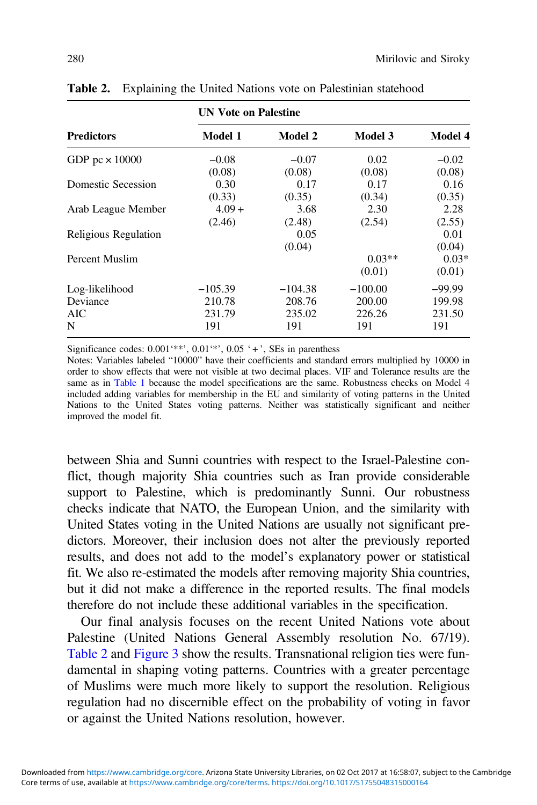|                       | <b>UN Vote on Palestine</b> |                   |                    |                   |  |  |  |  |
|-----------------------|-----------------------------|-------------------|--------------------|-------------------|--|--|--|--|
| <b>Predictors</b>     | Model 1                     | <b>Model 2</b>    | <b>Model 3</b>     | <b>Model 4</b>    |  |  |  |  |
| GDP pc $\times$ 10000 | $-0.08$<br>(0.08)           | $-0.07$<br>(0.08) | 0.02<br>(0.08)     | $-0.02$<br>(0.08) |  |  |  |  |
| Domestic Secession    | 0.30<br>(0.33)              | 0.17<br>(0.35)    | 0.17<br>(0.34)     | 0.16<br>(0.35)    |  |  |  |  |
| Arab League Member    | $4.09 +$<br>(2.46)          | 3.68<br>(2.48)    | 2.30<br>(2.54)     | 2.28<br>(2.55)    |  |  |  |  |
| Religious Regulation  |                             | 0.05<br>(0.04)    |                    | 0.01<br>(0.04)    |  |  |  |  |
| Percent Muslim        |                             |                   | $0.03**$<br>(0.01) | $0.03*$<br>(0.01) |  |  |  |  |
| Log-likelihood        | $-105.39$                   | $-104.38$         | $-100.00$          | $-99.99$          |  |  |  |  |
| Deviance              | 210.78                      | 208.76            | 200.00             | 199.98            |  |  |  |  |
| AIC                   | 231.79                      | 235.02            | 226.26             | 231.50            |  |  |  |  |
| N                     | 191                         | 191               | 191                | 191               |  |  |  |  |

<span id="page-17-0"></span>Table 2. Explaining the United Nations vote on Palestinian statehood

Significance codes:  $0.001$ <sup>\*\*\*</sup>',  $0.01$ <sup>\*\*</sup>',  $0.05$ <sup>\*</sup>+', SEs in parenthess

Notes: Variables labeled "10000" have their coefficients and standard errors multiplied by 10000 in order to show effects that were not visible at two decimal places. VIF and Tolerance results are the same as in [Table 1](#page-13-0) because the model specifications are the same. Robustness checks on Model 4 included adding variables for membership in the EU and similarity of voting patterns in the United Nations to the United States voting patterns. Neither was statistically significant and neither improved the model fit.

between Shia and Sunni countries with respect to the Israel-Palestine conflict, though majority Shia countries such as Iran provide considerable support to Palestine, which is predominantly Sunni. Our robustness checks indicate that NATO, the European Union, and the similarity with United States voting in the United Nations are usually not significant predictors. Moreover, their inclusion does not alter the previously reported results, and does not add to the model's explanatory power or statistical fit. We also re-estimated the models after removing majority Shia countries, but it did not make a difference in the reported results. The final models therefore do not include these additional variables in the specification.

Our final analysis focuses on the recent United Nations vote about Palestine (United Nations General Assembly resolution No. 67/19). Table 2 and [Figure 3](#page-18-0) show the results. Transnational religion ties were fundamental in shaping voting patterns. Countries with a greater percentage of Muslims were much more likely to support the resolution. Religious regulation had no discernible effect on the probability of voting in favor or against the United Nations resolution, however.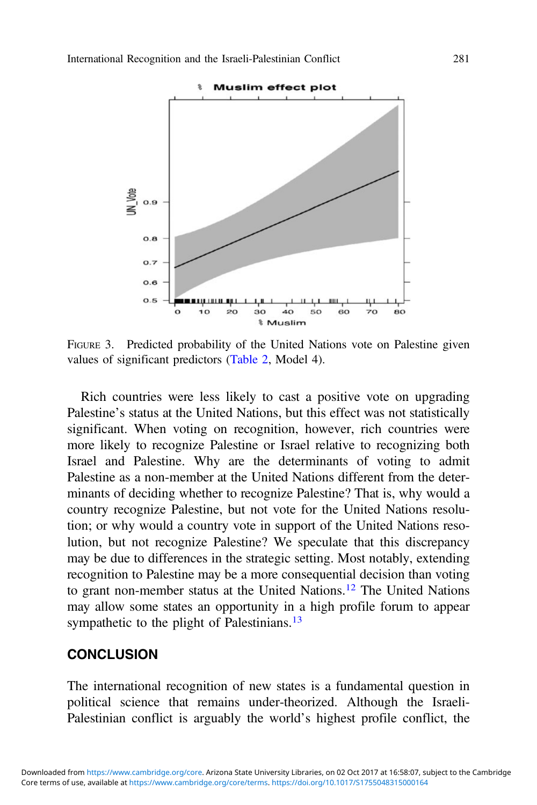<span id="page-18-0"></span>

FIGURE 3. Predicted probability of the United Nations vote on Palestine given values of significant predictors [\(Table 2,](#page-17-0) Model 4).

Rich countries were less likely to cast a positive vote on upgrading Palestine's status at the United Nations, but this effect was not statistically significant. When voting on recognition, however, rich countries were more likely to recognize Palestine or Israel relative to recognizing both Israel and Palestine. Why are the determinants of voting to admit Palestine as a non-member at the United Nations different from the determinants of deciding whether to recognize Palestine? That is, why would a country recognize Palestine, but not vote for the United Nations resolution; or why would a country vote in support of the United Nations resolution, but not recognize Palestine? We speculate that this discrepancy may be due to differences in the strategic setting. Most notably, extending recognition to Palestine may be a more consequential decision than voting to grant non-member status at the United Nations.<sup>[12](#page-20-0)</sup> The United Nations may allow some states an opportunity in a high profile forum to appear sympathetic to the plight of Palestinians.<sup>[13](#page-20-0)</sup>

# **CONCLUSION**

The international recognition of new states is a fundamental question in political science that remains under-theorized. Although the Israeli-Palestinian conflict is arguably the world's highest profile conflict, the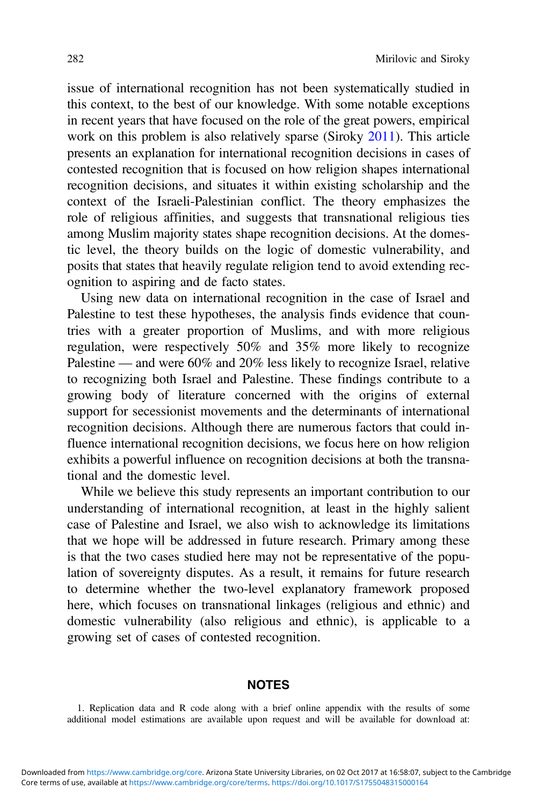<span id="page-19-0"></span>issue of international recognition has not been systematically studied in this context, to the best of our knowledge. With some notable exceptions in recent years that have focused on the role of the great powers, empirical work on this problem is also relatively sparse (Siroky [2011](#page-22-0)). This article presents an explanation for international recognition decisions in cases of contested recognition that is focused on how religion shapes international recognition decisions, and situates it within existing scholarship and the context of the Israeli-Palestinian conflict. The theory emphasizes the role of religious affinities, and suggests that transnational religious ties among Muslim majority states shape recognition decisions. At the domestic level, the theory builds on the logic of domestic vulnerability, and posits that states that heavily regulate religion tend to avoid extending recognition to aspiring and de facto states.

Using new data on international recognition in the case of Israel and Palestine to test these hypotheses, the analysis finds evidence that countries with a greater proportion of Muslims, and with more religious regulation, were respectively 50% and 35% more likely to recognize Palestine — and were 60% and 20% less likely to recognize Israel, relative to recognizing both Israel and Palestine. These findings contribute to a growing body of literature concerned with the origins of external support for secessionist movements and the determinants of international recognition decisions. Although there are numerous factors that could influence international recognition decisions, we focus here on how religion exhibits a powerful influence on recognition decisions at both the transnational and the domestic level.

While we believe this study represents an important contribution to our understanding of international recognition, at least in the highly salient case of Palestine and Israel, we also wish to acknowledge its limitations that we hope will be addressed in future research. Primary among these is that the two cases studied here may not be representative of the population of sovereignty disputes. As a result, it remains for future research to determine whether the two-level explanatory framework proposed here, which focuses on transnational linkages (religious and ethnic) and domestic vulnerability (also religious and ethnic), is applicable to a growing set of cases of contested recognition.

#### NOTES

1. Replication data and R code along with a brief online appendix with the results of some additional model estimations are available upon request and will be available for download at: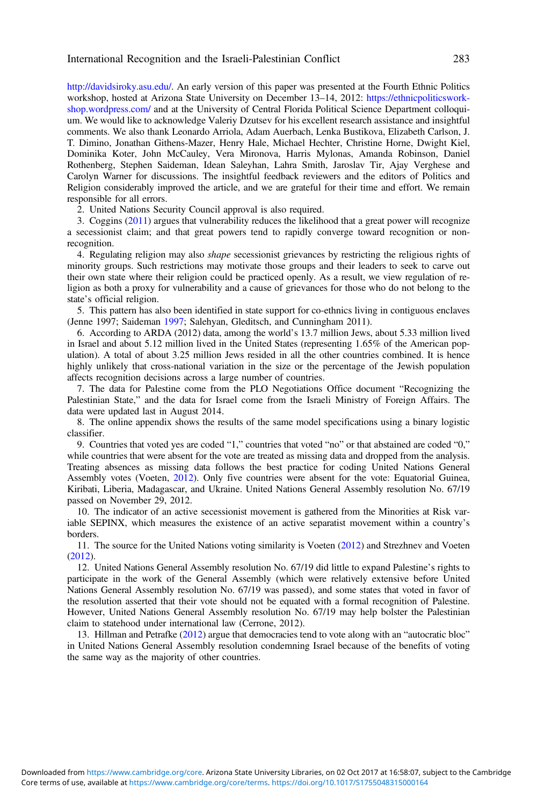<span id="page-20-0"></span>[http://davidsiroky.asu.edu/.](http://davidsiroky.asu.edu/) An early version of this paper was presented at the Fourth Ethnic Politics workshop, hosted at Arizona State University on December 13–14, 2012: [https://ethnicpoliticswork](https://ethnicpoliticsworkshop.wordpress.com/)[shop.wordpress.com/](https://ethnicpoliticsworkshop.wordpress.com/) and at the University of Central Florida Political Science Department colloquium. We would like to acknowledge Valeriy Dzutsev for his excellent research assistance and insightful comments. We also thank Leonardo Arriola, Adam Auerbach, Lenka Bustikova, Elizabeth Carlson, J. T. Dimino, Jonathan Githens-Mazer, Henry Hale, Michael Hechter, Christine Horne, Dwight Kiel, Dominika Koter, John McCauley, Vera Mironova, Harris Mylonas, Amanda Robinson, Daniel Rothenberg, Stephen Saideman, Idean Saleyhan, Lahra Smith, Jaroslav Tir, Ajay Verghese and Carolyn Warner for discussions. The insightful feedback reviewers and the editors of Politics and Religion considerably improved the article, and we are grateful for their time and effort. We remain responsible for all errors.

2. United Nations Security Council approval is also required.

3. Coggins [\(2011\)](#page-21-0) argues that vulnerability reduces the likelihood that a great power will recognize a secessionist claim; and that great powers tend to rapidly converge toward recognition or nonrecognition.

4. Regulating religion may also *shape* secessionist grievances by restricting the religious rights of minority groups. Such restrictions may motivate those groups and their leaders to seek to carve out their own state where their religion could be practiced openly. As a result, we view regulation of religion as both a proxy for vulnerability and a cause of grievances for those who do not belong to the state's official religion.

5. This pattern has also been identified in state support for co-ethnics living in contiguous enclaves (Jenne 1997; Saideman [1997;](#page-22-0) Salehyan, Gleditsch, and Cunningham 2011).

6. According to ARDA (2012) data, among the world's 13.7 million Jews, about 5.33 million lived in Israel and about 5.12 million lived in the United States (representing 1.65% of the American population). A total of about 3.25 million Jews resided in all the other countries combined. It is hence highly unlikely that cross-national variation in the size or the percentage of the Jewish population affects recognition decisions across a large number of countries.

7. The data for Palestine come from the PLO Negotiations Office document "Recognizing the Palestinian State," and the data for Israel come from the Israeli Ministry of Foreign Affairs. The data were updated last in August 2014.

8. The online appendix shows the results of the same model specifications using a binary logistic classifier.

9. Countries that voted yes are coded "1," countries that voted "no" or that abstained are coded "0," while countries that were absent for the vote are treated as missing data and dropped from the analysis. Treating absences as missing data follows the best practice for coding United Nations General Assembly votes (Voeten, [2012\)](#page-22-0). Only five countries were absent for the vote: Equatorial Guinea, Kiribati, Liberia, Madagascar, and Ukraine. United Nations General Assembly resolution No. 67/19 passed on November 29, 2012.

10. The indicator of an active secessionist movement is gathered from the Minorities at Risk variable SEPINX, which measures the existence of an active separatist movement within a country's borders.

11. The source for the United Nations voting similarity is Voeten [\(2012](#page-22-0)) and Strezhnev and Voeten ([2012\)](#page-22-0).

12. United Nations General Assembly resolution No. 67/19 did little to expand Palestine's rights to participate in the work of the General Assembly (which were relatively extensive before United Nations General Assembly resolution No. 67/19 was passed), and some states that voted in favor of the resolution asserted that their vote should not be equated with a formal recognition of Palestine. However, United Nations General Assembly resolution No. 67/19 may help bolster the Palestinian claim to statehood under international law (Cerrone, 2012).

13. Hillman and Petrafke [\(2012\)](#page-21-0) argue that democracies tend to vote along with an "autocratic bloc" in United Nations General Assembly resolution condemning Israel because of the benefits of voting the same way as the majority of other countries.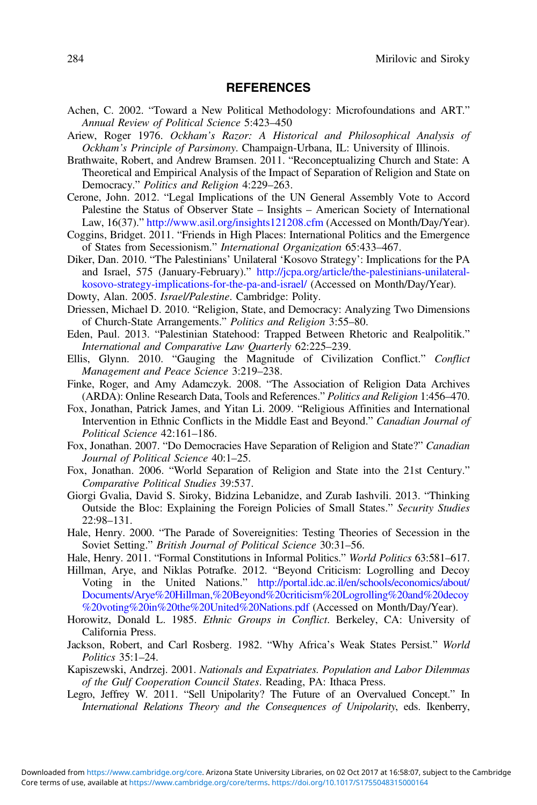#### **REFERENCES**

- <span id="page-21-0"></span>Achen, C. 2002. "Toward a New Political Methodology: Microfoundations and ART." Annual Review of Political Science 5:423–450
- Ariew, Roger 1976. Ockham's Razor: A Historical and Philosophical Analysis of Ockham's Principle of Parsimony. Champaign-Urbana, IL: University of Illinois.
- Brathwaite, Robert, and Andrew Bramsen. 2011. "Reconceptualizing Church and State: A Theoretical and Empirical Analysis of the Impact of Separation of Religion and State on Democracy." Politics and Religion 4:229–263.
- Cerone, John. 2012. "Legal Implications of the UN General Assembly Vote to Accord Palestine the Status of Observer State – Insights – American Society of International Law, 16(37)." <http://www.asil.org/insights121208.cfm> (Accessed on Month/Day/Year).
- Coggins, Bridget. 2011. "Friends in High Places: International Politics and the Emergence of States from Secessionism." International Organization 65:433–467.
- Diker, Dan. 2010. "The Palestinians' Unilateral 'Kosovo Strategy': Implications for the PA and Israel, 575 (January-February)." [http://jcpa.org/article/the-palestinians-unilateral](http://jcpa.org/article/the-palestinians-unilateral-kosovo-strategy-implications-for-the-pa-and-israel/)[kosovo-strategy-implications-for-the-pa-and-israel/](http://jcpa.org/article/the-palestinians-unilateral-kosovo-strategy-implications-for-the-pa-and-israel/) (Accessed on Month/Day/Year).
- Dowty, Alan. 2005. Israel/Palestine. Cambridge: Polity.
- Driessen, Michael D. 2010. "Religion, State, and Democracy: Analyzing Two Dimensions of Church-State Arrangements." Politics and Religion 3:55–80.
- Eden, Paul. 2013. "Palestinian Statehood: Trapped Between Rhetoric and Realpolitik." International and Comparative Law Quarterly 62:225–239.
- Ellis, Glynn. 2010. "Gauging the Magnitude of Civilization Conflict." Conflict Management and Peace Science 3:219–238.
- Finke, Roger, and Amy Adamczyk. 2008. "The Association of Religion Data Archives (ARDA): Online Research Data, Tools and References." Politics and Religion 1:456–470.
- Fox, Jonathan, Patrick James, and Yitan Li. 2009. "Religious Affinities and International Intervention in Ethnic Conflicts in the Middle East and Beyond." Canadian Journal of Political Science 42:161–186.
- Fox, Jonathan. 2007. "Do Democracies Have Separation of Religion and State?" Canadian Journal of Political Science 40:1–25.
- Fox, Jonathan. 2006. "World Separation of Religion and State into the 21st Century." Comparative Political Studies 39:537.
- Giorgi Gvalia, David S. Siroky, Bidzina Lebanidze, and Zurab Iashvili. 2013. "Thinking Outside the Bloc: Explaining the Foreign Policies of Small States." Security Studies 22:98–131.
- Hale, Henry. 2000. "The Parade of Sovereignities: Testing Theories of Secession in the Soviet Setting." British Journal of Political Science 30:31–56.
- Hale, Henry. 2011. "Formal Constitutions in Informal Politics." World Politics 63:581–617.
- Hillman, Arye, and Niklas Potrafke. 2012. "Beyond Criticism: Logrolling and Decoy Voting in the United Nations." [http://portal.idc.ac.il/en/schools/economics/about/](http://portal.idc.ac.il/en/schools/economics/about/Documents/Arye%20Hillman,%20Beyond%20criticism%20Logrolling%20and%20decoy%20voting%20in%20the%20United%20Nations.pdf) [Documents/Arye%20Hillman,%20Beyond%20criticism%20Logrolling%20and%20decoy](http://portal.idc.ac.il/en/schools/economics/about/Documents/Arye%20Hillman,%20Beyond%20criticism%20Logrolling%20and%20decoy%20voting%20in%20the%20United%20Nations.pdf) [%20voting%20in%20the%20United%20Nations.pdf](http://portal.idc.ac.il/en/schools/economics/about/Documents/Arye%20Hillman,%20Beyond%20criticism%20Logrolling%20and%20decoy%20voting%20in%20the%20United%20Nations.pdf) (Accessed on Month/Day/Year).
- Horowitz, Donald L. 1985. Ethnic Groups in Conflict. Berkeley, CA: University of California Press.
- Jackson, Robert, and Carl Rosberg. 1982. "Why Africa's Weak States Persist." World Politics 35:1–24.
- Kapiszewski, Andrzej. 2001. Nationals and Expatriates. Population and Labor Dilemmas of the Gulf Cooperation Council States. Reading, PA: Ithaca Press.
- Legro, Jeffrey W. 2011. "Sell Unipolarity? The Future of an Overvalued Concept." In International Relations Theory and the Consequences of Unipolarity, eds. Ikenberry,